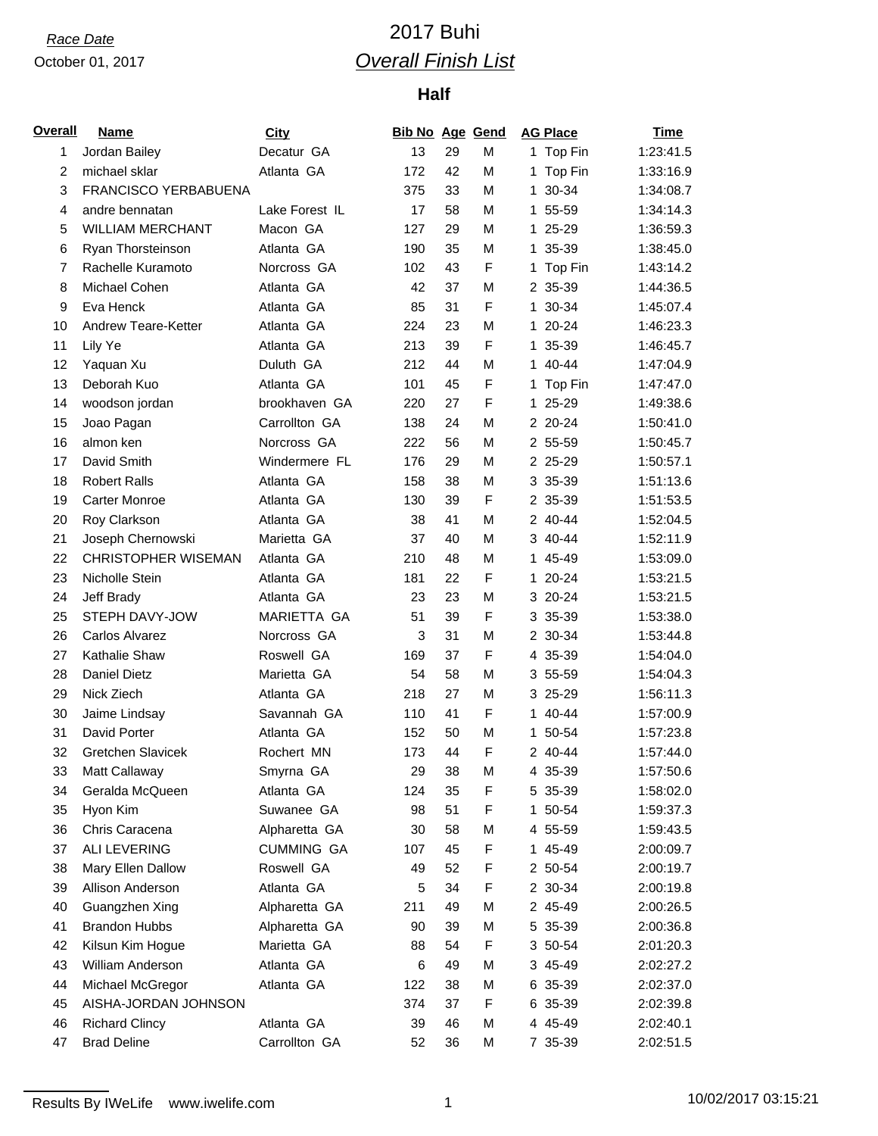# *Race Date* 2017 Buhi *Overall Finish List*

| <b>Overall</b> | <b>Name</b>                | <b>City</b>        | <b>Bib No Age Gend</b> |    |   | <b>AG Place</b> | Time      |
|----------------|----------------------------|--------------------|------------------------|----|---|-----------------|-----------|
| 1              | Jordan Bailey              | Decatur GA         | 13                     | 29 | M | 1 Top Fin       | 1:23:41.5 |
| $\overline{c}$ | michael sklar              | Atlanta GA         | 172                    | 42 | M | 1 Top Fin       | 1:33:16.9 |
| 3              | FRANCISCO YERBABUENA       |                    | 375                    | 33 | M | 1 30-34         | 1:34:08.7 |
| 4              | andre bennatan             | Lake Forest IL     | 17                     | 58 | M | 1 55-59         | 1:34:14.3 |
| 5              | <b>WILLIAM MERCHANT</b>    | Macon GA           | 127                    | 29 | M | 25-29<br>1.     | 1:36:59.3 |
| 6              | Ryan Thorsteinson          | Atlanta GA         | 190                    | 35 | M | 1 35-39         | 1:38:45.0 |
| 7              | Rachelle Kuramoto          | Norcross GA        | 102                    | 43 | F | 1 Top Fin       | 1:43:14.2 |
| 8              | Michael Cohen              | Atlanta GA         | 42                     | 37 | М | 2 35-39         | 1:44:36.5 |
| 9              | Eva Henck                  | Atlanta GA         | 85                     | 31 | F | 1 30-34         | 1:45:07.4 |
| 10             | Andrew Teare-Ketter        | Atlanta GA         | 224                    | 23 | M | 1 20-24         | 1:46:23.3 |
| 11             | Lily Ye                    | Atlanta GA         | 213                    | 39 | F | 1 35-39         | 1:46:45.7 |
| 12             | Yaquan Xu                  | Duluth GA          | 212                    | 44 | M | 1 40-44         | 1:47:04.9 |
| 13             | Deborah Kuo                | Atlanta GA         | 101                    | 45 | F | Top Fin<br>1    | 1:47:47.0 |
| 14             | woodson jordan             | brookhaven GA      | 220                    | 27 | F | 1 25-29         | 1:49:38.6 |
| 15             | Joao Pagan                 | Carrollton GA      | 138                    | 24 | M | 2 20-24         | 1:50:41.0 |
| 16             | almon ken                  | Norcross GA        | 222                    | 56 | М | 2 55-59         | 1:50:45.7 |
| 17             | David Smith                | Windermere FL      | 176                    | 29 | M | 2 25-29         | 1:50:57.1 |
| 18             | <b>Robert Ralls</b>        | Atlanta GA         | 158                    | 38 | M | 3 35-39         | 1:51:13.6 |
| 19             | <b>Carter Monroe</b>       | Atlanta GA         | 130                    | 39 | F | 2 35-39         | 1:51:53.5 |
| 20             | Roy Clarkson               | Atlanta GA         | 38                     | 41 | M | 2 40-44         | 1:52:04.5 |
| 21             | Joseph Chernowski          | Marietta GA        | 37                     | 40 | M | 3 40-44         | 1:52:11.9 |
| 22             | <b>CHRISTOPHER WISEMAN</b> | Atlanta GA         | 210                    | 48 | M | 1 45-49         | 1:53:09.0 |
| 23             | Nicholle Stein             | Atlanta GA         | 181                    | 22 | F | 1 20-24         | 1:53:21.5 |
| 24             | Jeff Brady                 | Atlanta GA         | 23                     | 23 | M | 3 20-24         | 1:53:21.5 |
| 25             | STEPH DAVY-JOW             | <b>MARIETTA GA</b> | 51                     | 39 | F | 3 35-39         | 1:53:38.0 |
| 26             | Carlos Alvarez             | Norcross GA        | 3                      | 31 | M | 2 30-34         | 1:53:44.8 |
| 27             | Kathalie Shaw              | Roswell GA         | 169                    | 37 | F | 4 35-39         | 1:54:04.0 |
| 28             | <b>Daniel Dietz</b>        | Marietta GA        | 54                     | 58 | M | 3 55-59         | 1:54:04.3 |
| 29             | Nick Ziech                 | Atlanta GA         | 218                    | 27 | M | 3 25-29         | 1:56:11.3 |
| 30             | Jaime Lindsay              | Savannah GA        | 110                    | 41 | F | 1 40-44         | 1:57:00.9 |
| 31             | David Porter               | Atlanta GA         | 152                    | 50 | M | 1 50-54         | 1:57:23.8 |
| 32             | <b>Gretchen Slavicek</b>   | Rochert MN         | 173                    | 44 | F | 2 40-44         | 1:57:44.0 |
| 33             | Matt Callaway              | Smyrna GA          | 29                     | 38 | М | 4 35-39         | 1:57:50.6 |
| 34             | Geralda McQueen            | Atlanta GA         | 124                    | 35 | F | 5 35-39         | 1:58:02.0 |
| 35             | Hyon Kim                   | Suwanee GA         | 98                     | 51 | F | 1 50-54         | 1:59:37.3 |
| 36             | Chris Caracena             | Alpharetta GA      | 30                     | 58 | М | 4 55-59         | 1:59:43.5 |
| 37             | <b>ALI LEVERING</b>        | <b>CUMMING GA</b>  | 107                    | 45 | F | 1 45-49         | 2:00:09.7 |
| 38             | Mary Ellen Dallow          | Roswell GA         | 49                     | 52 | F | 2 50-54         | 2:00:19.7 |
| 39             | Allison Anderson           | Atlanta GA         | 5                      | 34 | F | 2 30-34         | 2:00:19.8 |
| 40             | Guangzhen Xing             | Alpharetta GA      | 211                    | 49 | M | 2 45-49         | 2:00:26.5 |
| 41             | <b>Brandon Hubbs</b>       | Alpharetta GA      | 90                     | 39 | M | 5 35-39         | 2:00:36.8 |
| 42             | Kilsun Kim Hogue           | Marietta GA        | 88                     | 54 | F | 3 50-54         | 2:01:20.3 |
| 43             | William Anderson           | Atlanta GA         | 6                      | 49 | М | 3 45-49         | 2:02:27.2 |
| 44             | Michael McGregor           | Atlanta GA         | 122                    | 38 | М | 6 35-39         | 2:02:37.0 |
| 45             | AISHA-JORDAN JOHNSON       |                    | 374                    | 37 | F | 6 35-39         | 2:02:39.8 |
| 46             | <b>Richard Clincy</b>      | Atlanta GA         | 39                     | 46 | М | 4 45-49         | 2:02:40.1 |
| 47             | <b>Brad Deline</b>         | Carrollton GA      | 52                     | 36 | M | 7 35-39         | 2:02:51.5 |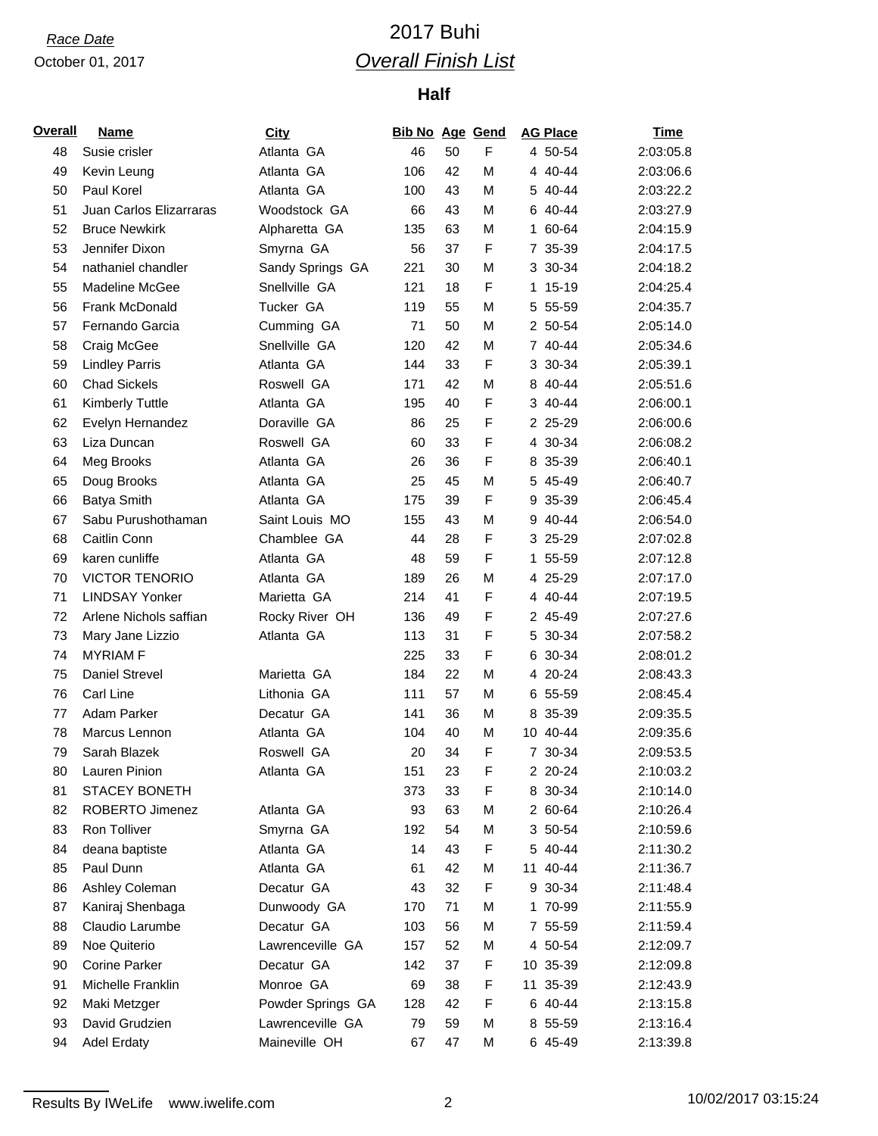# *Race Date* 2017 Buhi *Overall Finish List*

| <u>Overall</u> | <b>Name</b>             | <b>City</b>       | <b>Bib No Age Gend</b> |    |   | <b>AG Place</b> | <b>Time</b> |
|----------------|-------------------------|-------------------|------------------------|----|---|-----------------|-------------|
| 48             | Susie crisler           | Atlanta GA        | 46                     | 50 | F | 4 50-54         | 2:03:05.8   |
| 49             | Kevin Leung             | Atlanta GA        | 106                    | 42 | M | 4 40-44         | 2:03:06.6   |
| 50             | Paul Korel              | Atlanta GA        | 100                    | 43 | M | 5 40-44         | 2:03:22.2   |
| 51             | Juan Carlos Elizarraras | Woodstock GA      | 66                     | 43 | M | 6 40-44         | 2:03:27.9   |
| 52             | <b>Bruce Newkirk</b>    | Alpharetta GA     | 135                    | 63 | M | 1 60-64         | 2:04:15.9   |
| 53             | Jennifer Dixon          | Smyrna GA         | 56                     | 37 | F | 7 35-39         | 2:04:17.5   |
| 54             | nathaniel chandler      | Sandy Springs GA  | 221                    | 30 | M | 3 30-34         | 2:04:18.2   |
| 55             | Madeline McGee          | Snellville GA     | 121                    | 18 | F | 1 15-19         | 2:04:25.4   |
| 56             | <b>Frank McDonald</b>   | Tucker GA         | 119                    | 55 | M | 5 55-59         | 2:04:35.7   |
| 57             | Fernando Garcia         | Cumming GA        | 71                     | 50 | M | 2 50-54         | 2:05:14.0   |
| 58             | Craig McGee             | Snellville GA     | 120                    | 42 | M | 7 40-44         | 2:05:34.6   |
| 59             | <b>Lindley Parris</b>   | Atlanta GA        | 144                    | 33 | F | 3 30-34         | 2:05:39.1   |
| 60             | <b>Chad Sickels</b>     | Roswell GA        | 171                    | 42 | M | 8 40-44         | 2:05:51.6   |
| 61             | Kimberly Tuttle         | Atlanta GA        | 195                    | 40 | F | 3 40-44         | 2:06:00.1   |
| 62             | Evelyn Hernandez        | Doraville GA      | 86                     | 25 | F | 2 25-29         | 2:06:00.6   |
| 63             | Liza Duncan             | Roswell GA        | 60                     | 33 | F | 4 30-34         | 2:06:08.2   |
| 64             | Meg Brooks              | Atlanta GA        | 26                     | 36 | F | 8 35-39         | 2:06:40.1   |
| 65             | Doug Brooks             | Atlanta GA        | 25                     | 45 | M | 5 45-49         | 2:06:40.7   |
| 66             | <b>Batya Smith</b>      | Atlanta GA        | 175                    | 39 | F | 9 35-39         | 2:06:45.4   |
| 67             | Sabu Purushothaman      | Saint Louis MO    | 155                    | 43 | M | 9 40-44         | 2:06:54.0   |
| 68             | Caitlin Conn            | Chamblee GA       | 44                     | 28 | F | 3 25-29         | 2:07:02.8   |
| 69             | karen cunliffe          | Atlanta GA        | 48                     | 59 | F | 1 55-59         | 2:07:12.8   |
| 70             | <b>VICTOR TENORIO</b>   | Atlanta GA        | 189                    | 26 | М | 4 25-29         | 2:07:17.0   |
| 71             | <b>LINDSAY Yonker</b>   | Marietta GA       | 214                    | 41 | F | 4 40-44         | 2:07:19.5   |
| 72             | Arlene Nichols saffian  | Rocky River OH    | 136                    | 49 | F | 2 45-49         | 2:07:27.6   |
| 73             | Mary Jane Lizzio        | Atlanta GA        | 113                    | 31 | F | 5 30-34         | 2:07:58.2   |
| 74             | <b>MYRIAM F</b>         |                   | 225                    | 33 | F | 6 30-34         | 2:08:01.2   |
| 75             | Daniel Strevel          | Marietta GA       | 184                    | 22 | M | 4 20-24         | 2:08:43.3   |
| 76             | Carl Line               | Lithonia GA       | 111                    | 57 | M | 6 55-59         | 2:08:45.4   |
| 77             | Adam Parker             | Decatur GA        | 141                    | 36 | M | 8 35-39         | 2:09:35.5   |
| 78             | Marcus Lennon           | Atlanta GA        | 104                    | 40 | М | 10 40-44        | 2:09:35.6   |
| 79             | Sarah Blazek            | Roswell GA        | 20                     | 34 | F | 7 30-34         | 2:09:53.5   |
| 80             | Lauren Pinion           | Atlanta GA        | 151                    | 23 | F | 2 20-24         | 2:10:03.2   |
| 81             | <b>STACEY BONETH</b>    |                   | 373                    | 33 | F | 8 30-34         | 2:10:14.0   |
| 82             | ROBERTO Jimenez         | Atlanta GA        | 93                     | 63 | M | 2 60-64         | 2:10:26.4   |
| 83             | Ron Tolliver            | Smyrna GA         | 192                    | 54 | М | 3 50-54         | 2:10:59.6   |
| 84             | deana baptiste          | Atlanta GA        | 14                     | 43 | F | 5 40-44         | 2:11:30.2   |
| 85             | Paul Dunn               | Atlanta GA        | 61                     | 42 | M | 11 40-44        | 2:11:36.7   |
| 86             | Ashley Coleman          | Decatur GA        | 43                     | 32 | F | 9 30-34         | 2:11:48.4   |
| 87             | Kaniraj Shenbaga        | Dunwoody GA       | 170                    | 71 | M | 1 70-99         | 2:11:55.9   |
| 88             | Claudio Larumbe         | Decatur GA        | 103                    | 56 | M | 7 55-59         | 2:11:59.4   |
| 89             | Noe Quiterio            | Lawrenceville GA  | 157                    | 52 | М | 4 50-54         | 2:12:09.7   |
| 90             | <b>Corine Parker</b>    | Decatur GA        | 142                    | 37 | F | 10 35-39        | 2:12:09.8   |
| 91             | Michelle Franklin       | Monroe GA         | 69                     | 38 | F | 11 35-39        | 2:12:43.9   |
| 92             | Maki Metzger            | Powder Springs GA | 128                    | 42 | F | 6 40-44         | 2:13:15.8   |
| 93             | David Grudzien          | Lawrenceville GA  | 79                     | 59 | M | 8 55-59         | 2:13:16.4   |
| 94             | <b>Adel Erdaty</b>      | Maineville OH     | 67                     | 47 | М | 6 45-49         | 2:13:39.8   |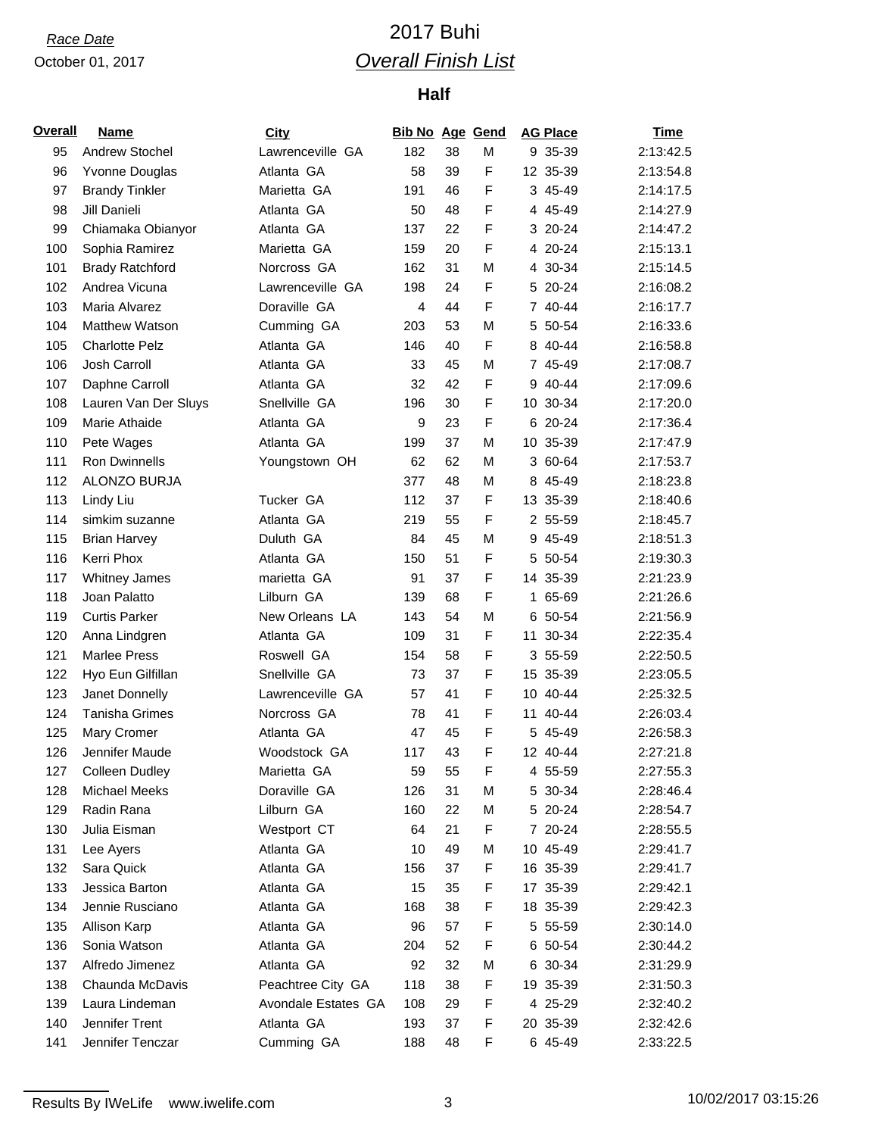# *Race Date* 2017 Buhi *Overall Finish List*

| <b>Overall</b> | <b>Name</b>                       | <b>City</b>         | <b>Bib No Age Gend</b> |    |        | <b>AG Place</b>     | <b>Time</b> |
|----------------|-----------------------------------|---------------------|------------------------|----|--------|---------------------|-------------|
| 95             | Andrew Stochel                    | Lawrenceville GA    | 182                    | 38 | M      | 9 35-39             | 2:13:42.5   |
| 96             | Yvonne Douglas                    | Atlanta GA          | 58                     | 39 | F      | 12 35-39            | 2:13:54.8   |
| 97             | <b>Brandy Tinkler</b>             | Marietta GA         | 191                    | 46 | F      | 3 45-49             | 2:14:17.5   |
| 98             | Jill Danieli                      | Atlanta GA          | 50                     | 48 | F      | 4 45-49             | 2:14:27.9   |
| 99             | Chiamaka Obianyor                 | Atlanta GA          | 137                    | 22 | F      | 3 20-24             | 2:14:47.2   |
| 100            | Sophia Ramirez                    | Marietta GA         | 159                    | 20 | F      | 4 20-24             | 2:15:13.1   |
| 101            | <b>Brady Ratchford</b>            | Norcross GA         | 162                    | 31 | M      | 4 30-34             | 2:15:14.5   |
| 102            | Andrea Vicuna                     | Lawrenceville GA    | 198                    | 24 | F      | 5 20-24             | 2:16:08.2   |
| 103            | Maria Alvarez                     | Doraville GA        | $\overline{4}$         | 44 | F      | 7 40-44             | 2:16:17.7   |
| 104            | Matthew Watson                    | Cumming GA          | 203                    | 53 | M      | 5 50-54             | 2:16:33.6   |
| 105            | <b>Charlotte Pelz</b>             | Atlanta GA          | 146                    | 40 | F      | 8 40-44             | 2:16:58.8   |
| 106            | Josh Carroll                      | Atlanta GA          | 33                     | 45 | M      | 7 45-49             | 2:17:08.7   |
| 107            | Daphne Carroll                    | Atlanta GA          | 32                     | 42 | F      | 9 40-44             | 2:17:09.6   |
| 108            | Lauren Van Der Sluys              | Snellville GA       | 196                    | 30 | F      | 10 30-34            | 2:17:20.0   |
| 109            | Marie Athaide                     | Atlanta GA          | 9                      | 23 | F      | 6 20-24             | 2:17:36.4   |
| 110            | Pete Wages                        | Atlanta GA          | 199                    | 37 | M      | 10 35-39            | 2:17:47.9   |
| 111            | <b>Ron Dwinnells</b>              | Youngstown OH       | 62                     | 62 | M      | 3 60-64             | 2:17:53.7   |
| 112            | ALONZO BURJA                      |                     | 377                    | 48 | M      | 8 45-49             | 2:18:23.8   |
| 113            | Lindy Liu                         | Tucker GA           | 112                    | 37 | F      | 13 35-39            | 2:18:40.6   |
| 114            | simkim suzanne                    | Atlanta GA          | 219                    | 55 | F      | 2 55-59             | 2:18:45.7   |
| 115            | <b>Brian Harvey</b>               | Duluth GA           | 84                     | 45 | M      | 9 45-49             | 2:18:51.3   |
| 116            | Kerri Phox                        | Atlanta GA          | 150                    | 51 | F      | 5 50-54             | 2:19:30.3   |
| 117            | <b>Whitney James</b>              | marietta GA         | 91                     | 37 | F      | 14 35-39            | 2:21:23.9   |
| 118            | Joan Palatto                      | Lilburn GA          | 139                    | 68 | F      | 1 65-69             | 2:21:26.6   |
| 119            | <b>Curtis Parker</b>              | New Orleans LA      | 143                    | 54 | M      | 6 50-54             | 2:21:56.9   |
| 120            | Anna Lindgren                     | Atlanta GA          | 109                    | 31 | F      | 11 30-34            | 2:22:35.4   |
| 121            | <b>Marlee Press</b>               | Roswell GA          | 154                    | 58 | F      | 3 55-59             | 2:22:50.5   |
| 122            | Hyo Eun Gilfillan                 | Snellville GA       | 73                     | 37 | F      | 15 35-39            | 2:23:05.5   |
| 123            | Janet Donnelly                    | Lawrenceville GA    | 57                     | 41 | F      | 10 40-44            | 2:25:32.5   |
| 124            | Tanisha Grimes                    | Norcross GA         | 78                     | 41 | F      | 11 40-44            | 2:26:03.4   |
| 125            | Mary Cromer                       | Atlanta GA          | 47                     | 45 | F      | 5 45-49             | 2:26:58.3   |
| 126            | Jennifer Maude                    | Woodstock GA        | 117                    | 43 | F      | 12 40-44            | 2:27:21.8   |
| 127            | <b>Colleen Dudley</b>             | Marietta GA         | 59                     | 55 | F      | 4 55-59             | 2:27:55.3   |
| 128            | <b>Michael Meeks</b>              | Doraville GA        | 126                    | 31 | M      | 5 30-34             | 2:28:46.4   |
| 129            | Radin Rana                        | Lilburn GA          | 160                    | 22 | M      | 5 20-24             | 2:28:54.7   |
| 130            | Julia Eisman                      | Westport CT         | 64                     | 21 | F      | 7 20-24             | 2:28:55.5   |
| 131            | Lee Ayers                         | Atlanta GA          | 10                     | 49 | M      | 10 45-49            | 2:29:41.7   |
| 132            | Sara Quick                        | Atlanta GA          | 156                    | 37 | F      | 16 35-39            | 2:29:41.7   |
| 133            | Jessica Barton                    | Atlanta GA          | 15                     | 35 | F      | 17 35-39            | 2:29:42.1   |
| 134            | Jennie Rusciano                   | Atlanta GA          | 168                    | 38 | F      | 18 35-39            | 2:29:42.3   |
| 135            | Allison Karp                      | Atlanta GA          | 96                     | 57 | F      | 5 55-59             | 2:30:14.0   |
| 136            | Sonia Watson                      | Atlanta GA          | 204                    | 52 | F      | 6 50-54             | 2:30:44.2   |
|                |                                   |                     |                        |    |        |                     |             |
| 137            | Alfredo Jimenez                   | Atlanta GA          | 92                     | 32 | M      | 6 30-34             | 2:31:29.9   |
| 138            | Chaunda McDavis<br>Laura Lindeman | Peachtree City GA   | 118                    | 38 | F<br>F | 19 35-39<br>4 25-29 | 2:31:50.3   |
| 139            |                                   | Avondale Estates GA | 108                    | 29 |        |                     | 2:32:40.2   |
| 140            | Jennifer Trent                    | Atlanta GA          | 193                    | 37 | F      | 20 35-39            | 2:32:42.6   |
| 141            | Jennifer Tenczar                  | Cumming GA          | 188                    | 48 | F      | 6 45-49             | 2:33:22.5   |